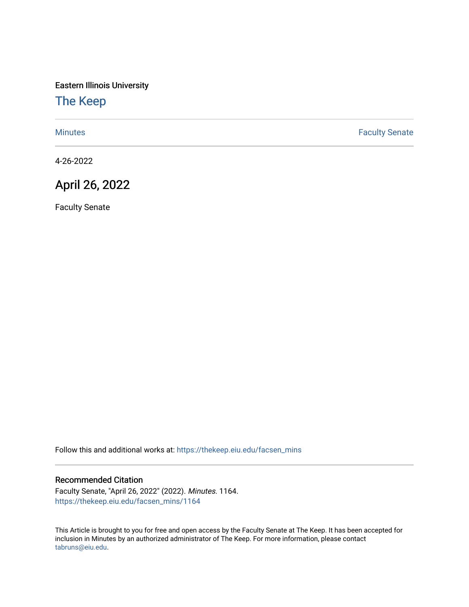Eastern Illinois University

## [The Keep](https://thekeep.eiu.edu/)

[Minutes](https://thekeep.eiu.edu/facsen_mins) **Faculty Senate** 

4-26-2022

## April 26, 2022

Faculty Senate

Follow this and additional works at: [https://thekeep.eiu.edu/facsen\\_mins](https://thekeep.eiu.edu/facsen_mins?utm_source=thekeep.eiu.edu%2Ffacsen_mins%2F1164&utm_medium=PDF&utm_campaign=PDFCoverPages) 

## Recommended Citation

Faculty Senate, "April 26, 2022" (2022). Minutes. 1164. [https://thekeep.eiu.edu/facsen\\_mins/1164](https://thekeep.eiu.edu/facsen_mins/1164?utm_source=thekeep.eiu.edu%2Ffacsen_mins%2F1164&utm_medium=PDF&utm_campaign=PDFCoverPages) 

This Article is brought to you for free and open access by the Faculty Senate at The Keep. It has been accepted for inclusion in Minutes by an authorized administrator of The Keep. For more information, please contact [tabruns@eiu.edu.](mailto:tabruns@eiu.edu)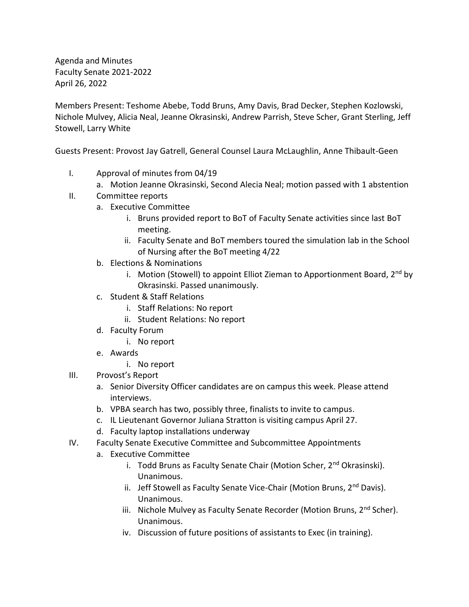Agenda and Minutes Faculty Senate 2021-2022 April 26, 2022

Members Present: Teshome Abebe, Todd Bruns, Amy Davis, Brad Decker, Stephen Kozlowski, Nichole Mulvey, Alicia Neal, Jeanne Okrasinski, Andrew Parrish, Steve Scher, Grant Sterling, Jeff Stowell, Larry White

Guests Present: Provost Jay Gatrell, General Counsel Laura McLaughlin, Anne Thibault-Geen

- I. Approval of minutes from 04/19
	- a. Motion Jeanne Okrasinski, Second Alecia Neal; motion passed with 1 abstention
- II. Committee reports
	- a. Executive Committee
		- i. Bruns provided report to BoT of Faculty Senate activities since last BoT meeting.
		- ii. Faculty Senate and BoT members toured the simulation lab in the School of Nursing after the BoT meeting 4/22
	- b. Elections & Nominations
		- i. Motion (Stowell) to appoint Elliot Zieman to Apportionment Board,  $2^{nd}$  by Okrasinski. Passed unanimously.
	- c. Student & Staff Relations
		- i. Staff Relations: No report
		- ii. Student Relations: No report
	- d. Faculty Forum
		- i. No report
	- e. Awards
		- i. No report
- III. Provost's Report
	- a. Senior Diversity Officer candidates are on campus this week. Please attend interviews.
	- b. VPBA search has two, possibly three, finalists to invite to campus.
	- c. IL Lieutenant Governor Juliana Stratton is visiting campus April 27.
	- d. Faculty laptop installations underway
- IV. Faculty Senate Executive Committee and Subcommittee Appointments
	- a. Executive Committee
		- i. Todd Bruns as Faculty Senate Chair (Motion Scher, 2<sup>nd</sup> Okrasinski). Unanimous.
		- ii. Jeff Stowell as Faculty Senate Vice-Chair (Motion Bruns, 2<sup>nd</sup> Davis). Unanimous.
		- iii. Nichole Mulvey as Faculty Senate Recorder (Motion Bruns, 2<sup>nd</sup> Scher). Unanimous.
		- iv. Discussion of future positions of assistants to Exec (in training).